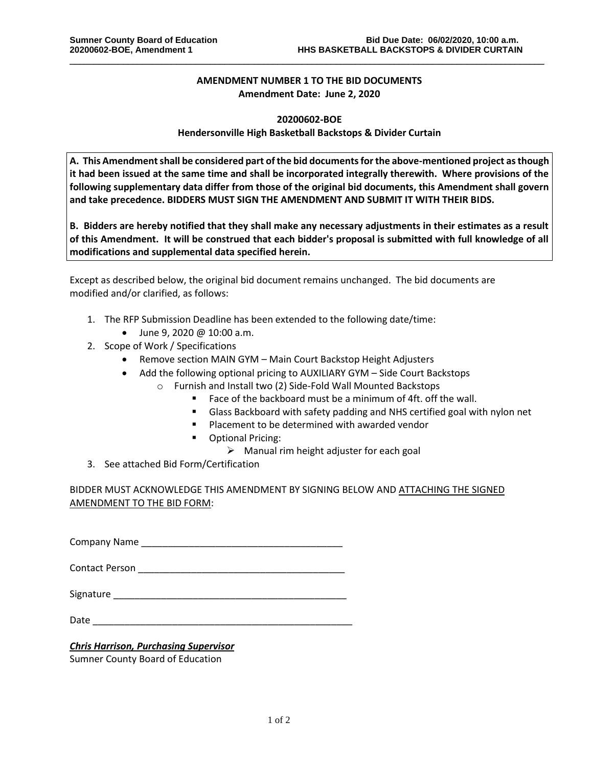## **AMENDMENT NUMBER 1 TO THE BID DOCUMENTS Amendment Date: June 2, 2020**

\_\_\_\_\_\_\_\_\_\_\_\_\_\_\_\_\_\_\_\_\_\_\_\_\_\_\_\_\_\_\_\_\_\_\_\_\_\_\_\_\_\_\_\_\_\_\_\_\_\_\_\_\_\_\_\_\_\_\_\_\_\_\_\_\_\_\_\_\_\_\_\_\_\_\_\_\_\_\_\_\_\_\_\_\_\_\_\_\_\_\_\_\_\_\_\_\_\_

## **20200602-BOE Hendersonville High Basketball Backstops & Divider Curtain**

**A. This Amendment shall be considered part of the bid documents for the above-mentioned project as though it had been issued at the same time and shall be incorporated integrally therewith. Where provisions of the following supplementary data differ from those of the original bid documents, this Amendment shall govern and take precedence. BIDDERS MUST SIGN THE AMENDMENT AND SUBMIT IT WITH THEIR BIDS.**

**B. Bidders are hereby notified that they shall make any necessary adjustments in their estimates as a result of this Amendment. It will be construed that each bidder's proposal is submitted with full knowledge of all modifications and supplemental data specified herein.**

Except as described below, the original bid document remains unchanged. The bid documents are modified and/or clarified, as follows:

- 1. The RFP Submission Deadline has been extended to the following date/time:
- June 9, 2020 @ 10:00 a.m.
- 2. Scope of Work / Specifications
	- Remove section MAIN GYM Main Court Backstop Height Adjusters
	- Add the following optional pricing to AUXILIARY GYM Side Court Backstops
		- o Furnish and Install two (2) Side-Fold Wall Mounted Backstops
			- Face of the backboard must be a minimum of 4ft. off the wall.
			- **■** Glass Backboard with safety padding and NHS certified goal with nylon net
			- Placement to be determined with awarded vendor
			- Optional Pricing:
				- $\triangleright$  Manual rim height adjuster for each goal
- 3. See attached Bid Form/Certification

BIDDER MUST ACKNOWLEDGE THIS AMENDMENT BY SIGNING BELOW AND ATTACHING THE SIGNED AMENDMENT TO THE BID FORM:

Company Name \_\_\_\_\_\_\_\_\_\_\_\_\_\_\_\_\_\_\_\_\_\_\_\_\_\_\_\_\_\_\_\_\_\_\_\_\_\_

Contact Person \_\_\_\_\_\_\_\_\_\_\_\_\_\_\_\_\_\_\_\_\_\_\_\_\_\_\_\_\_\_\_\_\_\_\_\_\_\_\_

Signature \_\_\_\_\_\_\_\_\_\_\_\_\_\_\_\_\_\_\_\_\_\_\_\_\_\_\_\_\_\_\_\_\_\_\_\_\_\_\_\_\_\_\_\_

Date  $\Box$ 

## *Chris Harrison, Purchasing Supervisor*

Sumner County Board of Education